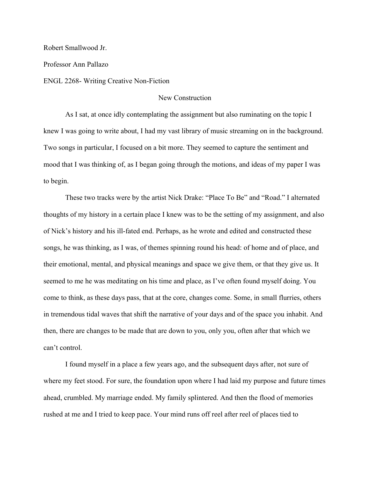Robert Smallwood Jr.

Professor Ann Pallazo

ENGL 2268- Writing Creative Non-Fiction

## New Construction

As I sat, at once idly contemplating the assignment but also ruminating on the topic I knew I was going to write about, I had my vast library of music streaming on in the background. Two songs in particular, I focused on a bit more. They seemed to capture the sentiment and mood that I was thinking of, as I began going through the motions, and ideas of my paper I was to begin.

These two tracks were by the artist Nick Drake: "Place To Be" and "Road." I alternated thoughts of my history in a certain place I knew was to be the setting of my assignment, and also of Nick's history and his ill-fated end. Perhaps, as he wrote and edited and constructed these songs, he was thinking, as I was, of themes spinning round his head: of home and of place, and their emotional, mental, and physical meanings and space we give them, or that they give us. It seemed to me he was meditating on his time and place, as I've often found myself doing. You come to think, as these days pass, that at the core, changes come. Some, in small flurries, others in tremendous tidal waves that shift the narrative of your days and of the space you inhabit. And then, there are changes to be made that are down to you, only you, often after that which we can't control.

I found myself in a place a few years ago, and the subsequent days after, not sure of where my feet stood. For sure, the foundation upon where I had laid my purpose and future times ahead, crumbled. My marriage ended. My family splintered. And then the flood of memories rushed at me and I tried to keep pace. Your mind runs off reel after reel of places tied to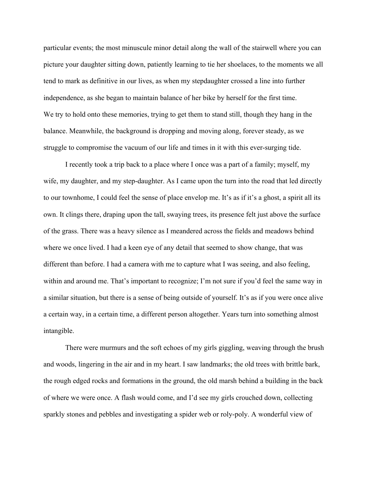particular events; the most minuscule minor detail along the wall of the stairwell where you can picture your daughter sitting down, patiently learning to tie her shoelaces, to the moments we all tend to mark as definitive in our lives, as when my stepdaughter crossed a line into further independence, as she began to maintain balance of her bike by herself for the first time. We try to hold onto these memories, trying to get them to stand still, though they hang in the balance. Meanwhile, the background is dropping and moving along, forever steady, as we struggle to compromise the vacuum of our life and times in it with this ever-surging tide.

I recently took a trip back to a place where I once was a part of a family; myself, my wife, my daughter, and my step-daughter. As I came upon the turn into the road that led directly to our townhome, I could feel the sense of place envelop me. It's as if it's a ghost, a spirit all its own. It clings there, draping upon the tall, swaying trees, its presence felt just above the surface of the grass. There was a heavy silence as I meandered across the fields and meadows behind where we once lived. I had a keen eye of any detail that seemed to show change, that was different than before. I had a camera with me to capture what I was seeing, and also feeling, within and around me. That's important to recognize; I'm not sure if you'd feel the same way in a similar situation, but there is a sense of being outside of yourself. It's as if you were once alive a certain way, in a certain time, a different person altogether. Years turn into something almost intangible.

There were murmurs and the soft echoes of my girls giggling, weaving through the brush and woods, lingering in the air and in my heart. I saw landmarks; the old trees with brittle bark, the rough edged rocks and formations in the ground, the old marsh behind a building in the back of where we were once. A flash would come, and I'd see my girls crouched down, collecting sparkly stones and pebbles and investigating a spider web or roly-poly. A wonderful view of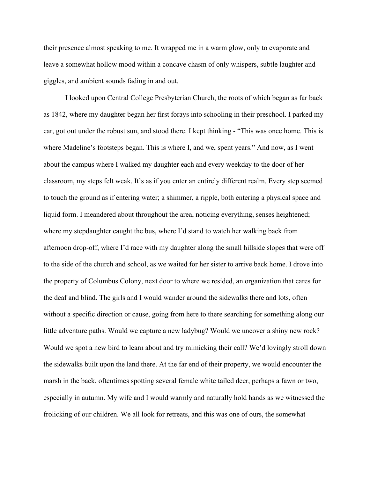their presence almost speaking to me. It wrapped me in a warm glow, only to evaporate and leave a somewhat hollow mood within a concave chasm of only whispers, subtle laughter and giggles, and ambient sounds fading in and out.

I looked upon Central College Presbyterian Church, the roots of which began as far back as 1842, where my daughter began her first forays into schooling in their preschool. I parked my car, got out under the robust sun, and stood there. I kept thinking - "This was once home. This is where Madeline's footsteps began. This is where I, and we, spent years." And now, as I went about the campus where I walked my daughter each and every weekday to the door of her classroom, my steps felt weak. It's as if you enter an entirely different realm. Every step seemed to touch the ground as if entering water; a shimmer, a ripple, both entering a physical space and liquid form. I meandered about throughout the area, noticing everything, senses heightened; where my stepdaughter caught the bus, where I'd stand to watch her walking back from afternoon drop-off, where I'd race with my daughter along the small hillside slopes that were off to the side of the church and school, as we waited for her sister to arrive back home. I drove into the property of Columbus Colony, next door to where we resided, an organization that cares for the deaf and blind. The girls and I would wander around the sidewalks there and lots, often without a specific direction or cause, going from here to there searching for something along our little adventure paths. Would we capture a new ladybug? Would we uncover a shiny new rock? Would we spot a new bird to learn about and try mimicking their call? We'd lovingly stroll down the sidewalks built upon the land there. At the far end of their property, we would encounter the marsh in the back, oftentimes spotting several female white tailed deer, perhaps a fawn or two, especially in autumn. My wife and I would warmly and naturally hold hands as we witnessed the frolicking of our children. We all look for retreats, and this was one of ours, the somewhat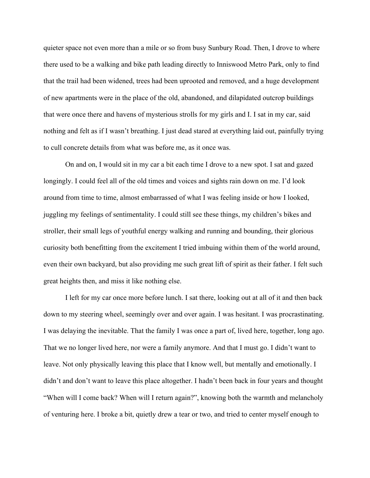quieter space not even more than a mile or so from busy Sunbury Road. Then, I drove to where there used to be a walking and bike path leading directly to Inniswood Metro Park, only to find that the trail had been widened, trees had been uprooted and removed, and a huge development of new apartments were in the place of the old, abandoned, and dilapidated outcrop buildings that were once there and havens of mysterious strolls for my girls and I. I sat in my car, said nothing and felt as if I wasn't breathing. I just dead stared at everything laid out, painfully trying to cull concrete details from what was before me, as it once was.

On and on, I would sit in my car a bit each time I drove to a new spot. I sat and gazed longingly. I could feel all of the old times and voices and sights rain down on me. I'd look around from time to time, almost embarrassed of what I was feeling inside or how I looked, juggling my feelings of sentimentality. I could still see these things, my children's bikes and stroller, their small legs of youthful energy walking and running and bounding, their glorious curiosity both benefitting from the excitement I tried imbuing within them of the world around, even their own backyard, but also providing me such great lift of spirit as their father. I felt such great heights then, and miss it like nothing else.

I left for my car once more before lunch. I sat there, looking out at all of it and then back down to my steering wheel, seemingly over and over again. I was hesitant. I was procrastinating. I was delaying the inevitable. That the family I was once a part of, lived here, together, long ago. That we no longer lived here, nor were a family anymore. And that I must go. I didn't want to leave. Not only physically leaving this place that I know well, but mentally and emotionally. I didn't and don't want to leave this place altogether. I hadn't been back in four years and thought "When will I come back? When will I return again?", knowing both the warmth and melancholy of venturing here. I broke a bit, quietly drew a tear or two, and tried to center myself enough to